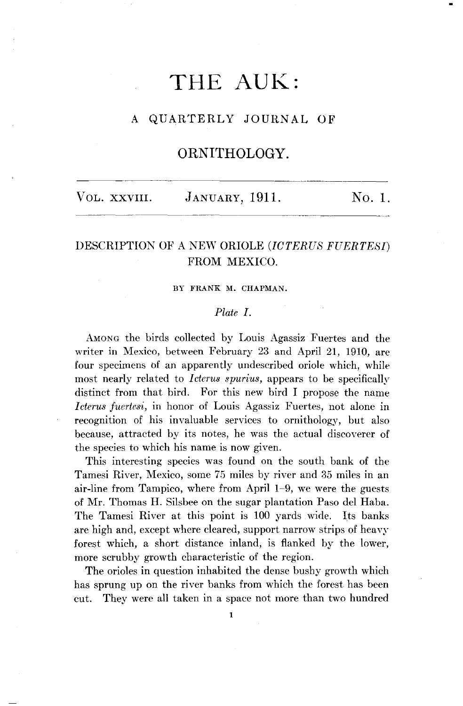# **THE AUK:**

## **A QUARTERLY JOURNAL OF**

# **ORNITHOLOGY.**

| VOL. XXVIII.<br>JANUARY, 1911. | No. 1. |  |
|--------------------------------|--------|--|
|--------------------------------|--------|--|

# **DESCRIPTION OF A NEW ORIOLE (ICTERUS FUERTESI) FROM MEXICO.**

#### **BY FRANK M. CHAPMAN.**

#### **Plate I.**

**AMONG the birds collected by Louis Agassiz Fuertes and the writer in Mexico, between February 23 and April 21, 1910, are four specimens of an apparently undeseribed oriole which, while most nearly related to Icterus spurius, appears to be specifically distinct from that bird. For this new bird I propose the name Icterus fuertesi, in honor of Louis Agassiz Fuertes, not alone in recognition of his invaluable services to ornithology, but also because, attracted by its notes, he was the actual discoverer of the species to which his name is now given.** 

**This interesting species was found on the south bank of the Tamesi River, Mexico, some 75 miles by river and 35 miles in an air-line from Tampico, where from April 1-9, we were the guests of Mr. Thomas H. Silsbee on the sugar plantation Paso del Haba. The Tamesi River at this point is 100 yards wide. Its banks are high and, except where cleared, support narrow strips of heavy forest which, a short distance inland, is flanked by the lower, more scrubby growth characteristic of the region.** 

**The orioles in question inhabited the dense bushy growth which has sprung up on the river banks from which the forest has been cut. They were all taken in a space not more than two hundred**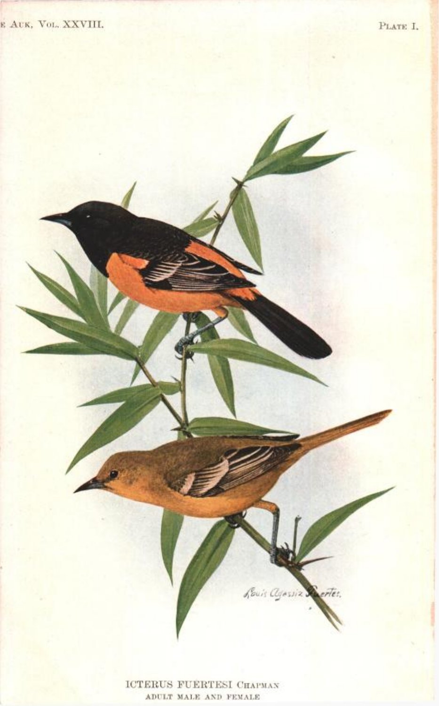ICTERUS FUERTESI CHAPMAN ADULT MALE AND FEMALE

Rouis Clynsiiz

ertes,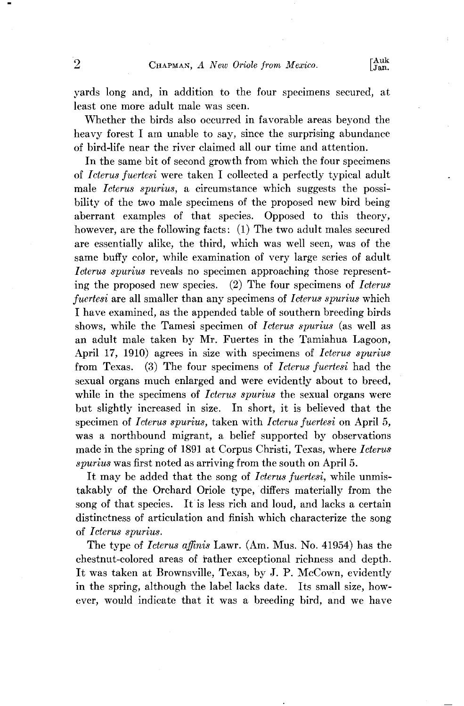**yards long and, in addition to the four specimens secured, at least one more adult male was seen.** 

**Whether the birds also occurred in favorable areas beyond the heavy forest I am unable to say, since the surprising abundance of bird-life near the river claimed all our time and attention.** 

In the same bit of second growth from which the four specimens **of Icterus fuertesi were taken I collected a perfectly typical adult**  male *Icterus spurius*, a circumstance which suggests the possi**bility of the two male specimens of the proposed new bird being aberrant examples of that species. Opposed to this theory, however, are the following facts: (1) The two adult males secured are essentially alike, the third, which was well seen, was of the same buffy color, while examination of very large series of adult Icterus spurius reveals no specimen approaching those representing the proposed new species. (2) The four specimens of Icterus fuertesi are all smaller than any specimens of Icterus spurius which I have examined, as the appended table of southern breeding birds shows, while the Tamesi specimen of Icterus spurius (as well as an adult male taken by Mr. Fuertes in the Tamiahua Lagoon, April 17, 1910) agrees in size with specimens of Icterus spurius from Texas. (3) The four specimens of Icterus fuertesi had the sexual organs much enlarged and were evidently about to breed, while in the specimens of Icterus spurius the sexual organs were but slightly increased in size. In short, it is believed that the specimen of Icterus spurius, taken with Icterus fuertesi on April 5, was a northbound migrant, a belief supported by observations made in the spring of 1891 at Corpus Christi, Texas, where Icterus spurius was first noted as arriving from the south on April 5.** 

**It may be added that the song of Icterus fuertesi, while unmistakably of the Orchard Oriole type, differs materially from the song of that species. It is less rich and loud, and lacks a certain distinctness of articulation and finish which characterize the song of Icterus spurius.** 

The type of *Icterus affinis* Lawr. (Am. Mus. No. 41954) has the **chestnut-colored areas of Father exceptional richness and depth. It was taken at Brownsville, Texas, by J.P. McCown, evidently**  in the spring, although the label lacks date. Its small size, how**ever, would indicate that it was a breeding bird, and we have**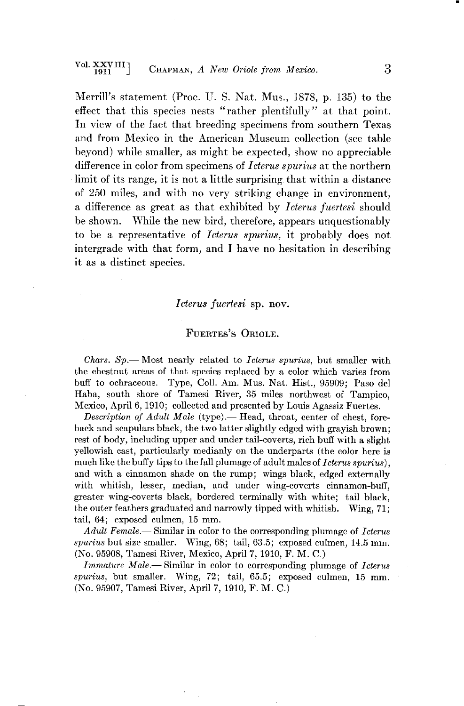**Merrill's statement (Proc. U.S. Nat. Mus., 1878, p. 135) to the effect that this species nests "rather plentifully" at that point. In view of the fact that breeding specimens from southern Texas and from Mexico in the American Museum collection (see table beyond) while smaller, as might be expected, show no appreciable difference in color from specimens of Icterus spurius at the northern limit of its range, it is not a little surprising that within a distance of 250 miles, and with no very striking change in environment, a difference as great as that exhibited by Icterus fuertesi should be shown. While the new bird, therefore, appears unquestionably to be a representative of Icterus spurius, it probably does not intergrade with that form, and I have no hesitation in describing it as a distinct species.** 

#### **Icterus fucrtesi sp. nov.**

#### FUERTES'S ORIOLE.

Chars. Sp.— Most nearly related to *Icterus spurius*, but smaller with the chestnut areas of that species replaced by a color which varies from **buff to ochraceous. Type, Coll. Am. Mus. Nat. Hist., 95909; Paso del Haba, south shore of Tamesi River, 35 miles northwest of Tampico, Mexico, April 6, 1910; collected and presented by Louis Agassiz Fuertes.** 

**Description of Adult Male (type).— Head, throat, center of chest, foreback and scapulars black, the two latter slightly edged with grayish brown; rest of body, including upper and under tail-coverts, rich buff with a slight**  yellowish cast, particularly medianly on the underparts (the color here is much like the buffy tips to the fall plumage of adult males of *Icterus spurius*). **and with a cinnamon shade on the rump; wings black, edged externally**  with whitish, lesser, median, and under wing-coverts cinnamon-buff. **greater wing-coverts black, bordered terminally with white; tail black, the outer feathers graduated and narrowly tipped with whitish. Wing, 71; tail, 64; exposed culmen, 15 mm.** 

Adult Female.— Similar in color to the corresponding plumage of Icterus spurius but size smaller. Wing, 68; tail, 63.5; exposed culmen, 14.5 mm. **(No. 95908, Tamesi River, Mexico, April 7, 1910, F. M. C.)** 

**Immature Male.--Similar in color to corresponding plumage of Icterus spurius, but smaller. Wing, 72; tail, 65.5; exposed culmen, 15 mm. (No. 95907, Tamesi River, April 7, 1910, F. M. C.)**